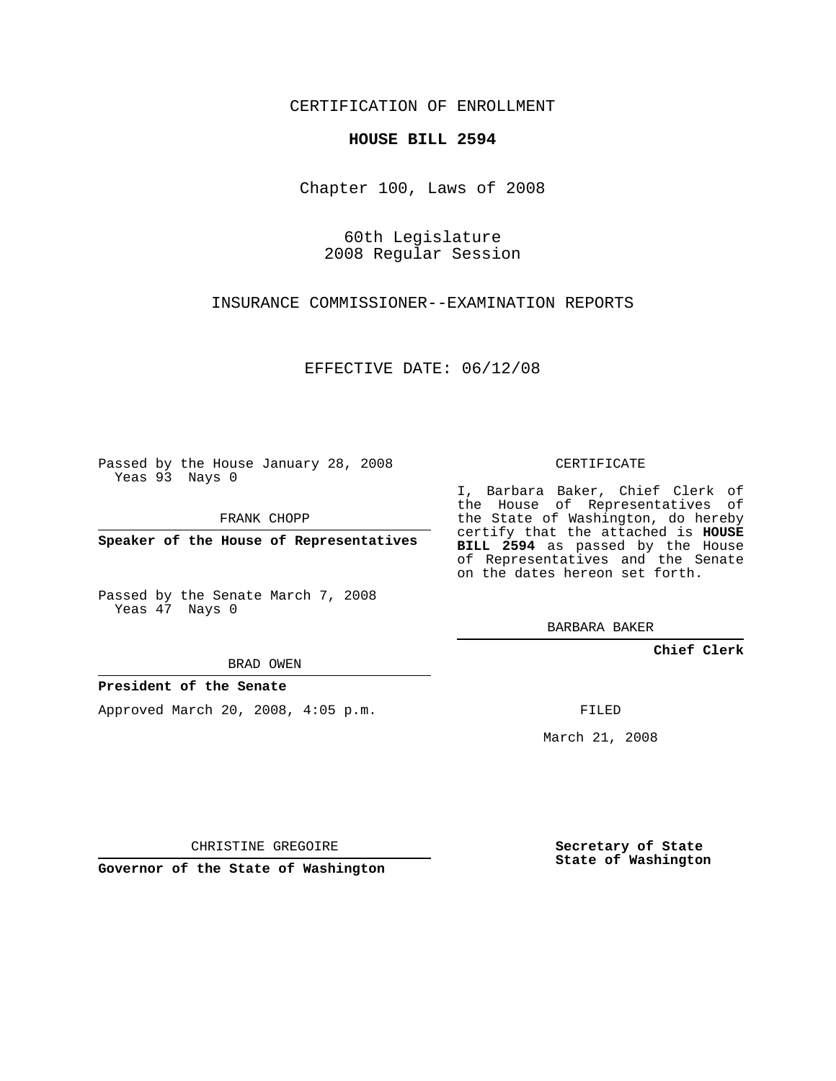CERTIFICATION OF ENROLLMENT

## **HOUSE BILL 2594**

Chapter 100, Laws of 2008

60th Legislature 2008 Regular Session

INSURANCE COMMISSIONER--EXAMINATION REPORTS

EFFECTIVE DATE: 06/12/08

Passed by the House January 28, 2008 Yeas 93 Nays 0

FRANK CHOPP

**Speaker of the House of Representatives**

Passed by the Senate March 7, 2008 Yeas 47 Nays 0

BRAD OWEN

**President of the Senate**

Approved March 20, 2008, 4:05 p.m.

CERTIFICATE

I, Barbara Baker, Chief Clerk of the House of Representatives of the State of Washington, do hereby certify that the attached is **HOUSE BILL 2594** as passed by the House of Representatives and the Senate on the dates hereon set forth.

BARBARA BAKER

**Chief Clerk**

FILED

March 21, 2008

CHRISTINE GREGOIRE

**Governor of the State of Washington**

**Secretary of State State of Washington**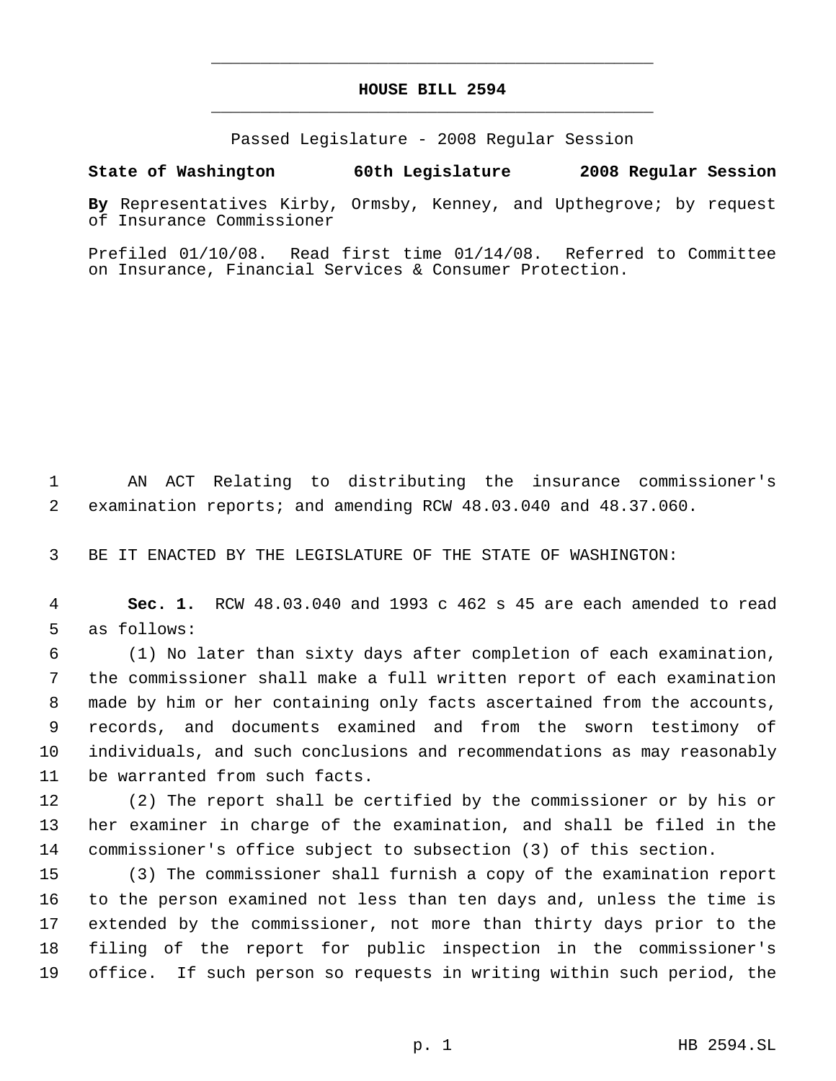## **HOUSE BILL 2594** \_\_\_\_\_\_\_\_\_\_\_\_\_\_\_\_\_\_\_\_\_\_\_\_\_\_\_\_\_\_\_\_\_\_\_\_\_\_\_\_\_\_\_\_\_

\_\_\_\_\_\_\_\_\_\_\_\_\_\_\_\_\_\_\_\_\_\_\_\_\_\_\_\_\_\_\_\_\_\_\_\_\_\_\_\_\_\_\_\_\_

Passed Legislature - 2008 Regular Session

## **State of Washington 60th Legislature 2008 Regular Session**

**By** Representatives Kirby, Ormsby, Kenney, and Upthegrove; by request of Insurance Commissioner

Prefiled 01/10/08. Read first time 01/14/08. Referred to Committee on Insurance, Financial Services & Consumer Protection.

 AN ACT Relating to distributing the insurance commissioner's examination reports; and amending RCW 48.03.040 and 48.37.060.

BE IT ENACTED BY THE LEGISLATURE OF THE STATE OF WASHINGTON:

 **Sec. 1.** RCW 48.03.040 and 1993 c 462 s 45 are each amended to read as follows:

 (1) No later than sixty days after completion of each examination, the commissioner shall make a full written report of each examination made by him or her containing only facts ascertained from the accounts, records, and documents examined and from the sworn testimony of individuals, and such conclusions and recommendations as may reasonably be warranted from such facts.

 (2) The report shall be certified by the commissioner or by his or her examiner in charge of the examination, and shall be filed in the commissioner's office subject to subsection (3) of this section.

 (3) The commissioner shall furnish a copy of the examination report to the person examined not less than ten days and, unless the time is extended by the commissioner, not more than thirty days prior to the filing of the report for public inspection in the commissioner's office. If such person so requests in writing within such period, the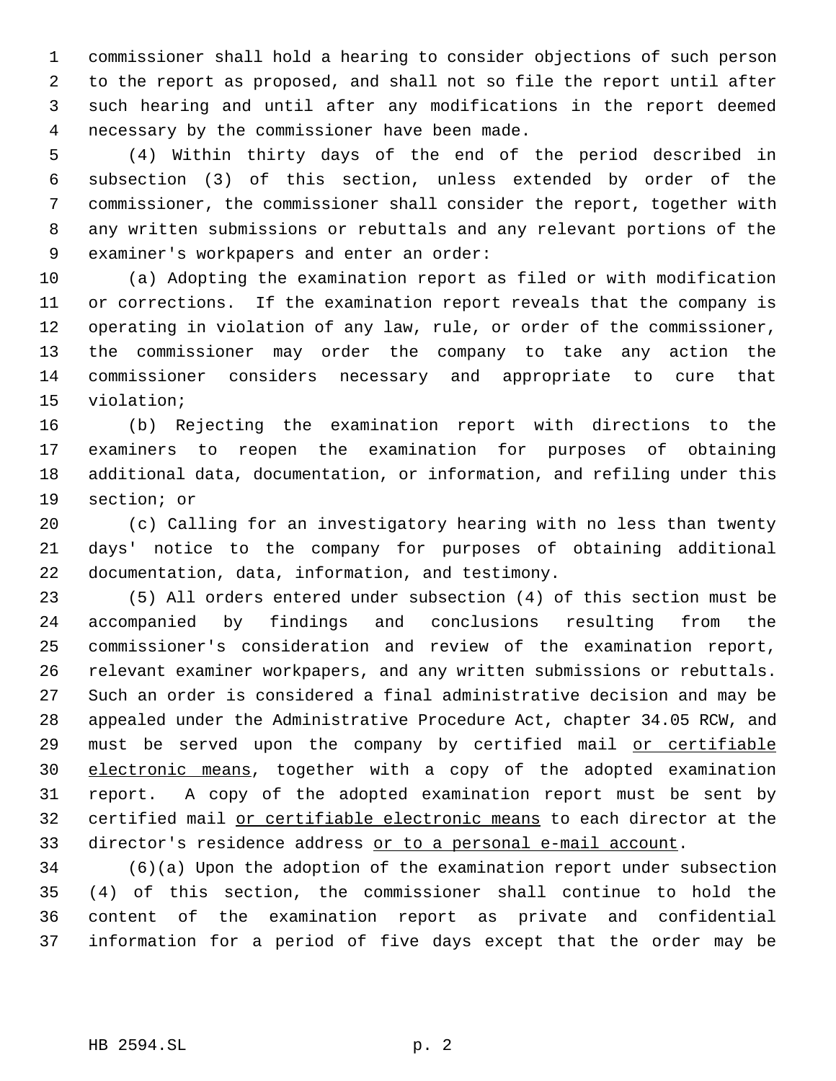commissioner shall hold a hearing to consider objections of such person to the report as proposed, and shall not so file the report until after such hearing and until after any modifications in the report deemed necessary by the commissioner have been made.

 (4) Within thirty days of the end of the period described in subsection (3) of this section, unless extended by order of the commissioner, the commissioner shall consider the report, together with any written submissions or rebuttals and any relevant portions of the examiner's workpapers and enter an order:

 (a) Adopting the examination report as filed or with modification or corrections. If the examination report reveals that the company is operating in violation of any law, rule, or order of the commissioner, the commissioner may order the company to take any action the commissioner considers necessary and appropriate to cure that violation;

 (b) Rejecting the examination report with directions to the examiners to reopen the examination for purposes of obtaining additional data, documentation, or information, and refiling under this section; or

 (c) Calling for an investigatory hearing with no less than twenty days' notice to the company for purposes of obtaining additional documentation, data, information, and testimony.

 (5) All orders entered under subsection (4) of this section must be accompanied by findings and conclusions resulting from the commissioner's consideration and review of the examination report, relevant examiner workpapers, and any written submissions or rebuttals. Such an order is considered a final administrative decision and may be appealed under the Administrative Procedure Act, chapter 34.05 RCW, and 29 must be served upon the company by certified mail or certifiable electronic means, together with a copy of the adopted examination report. A copy of the adopted examination report must be sent by certified mail or certifiable electronic means to each director at the director's residence address or to a personal e-mail account.

 (6)(a) Upon the adoption of the examination report under subsection (4) of this section, the commissioner shall continue to hold the content of the examination report as private and confidential information for a period of five days except that the order may be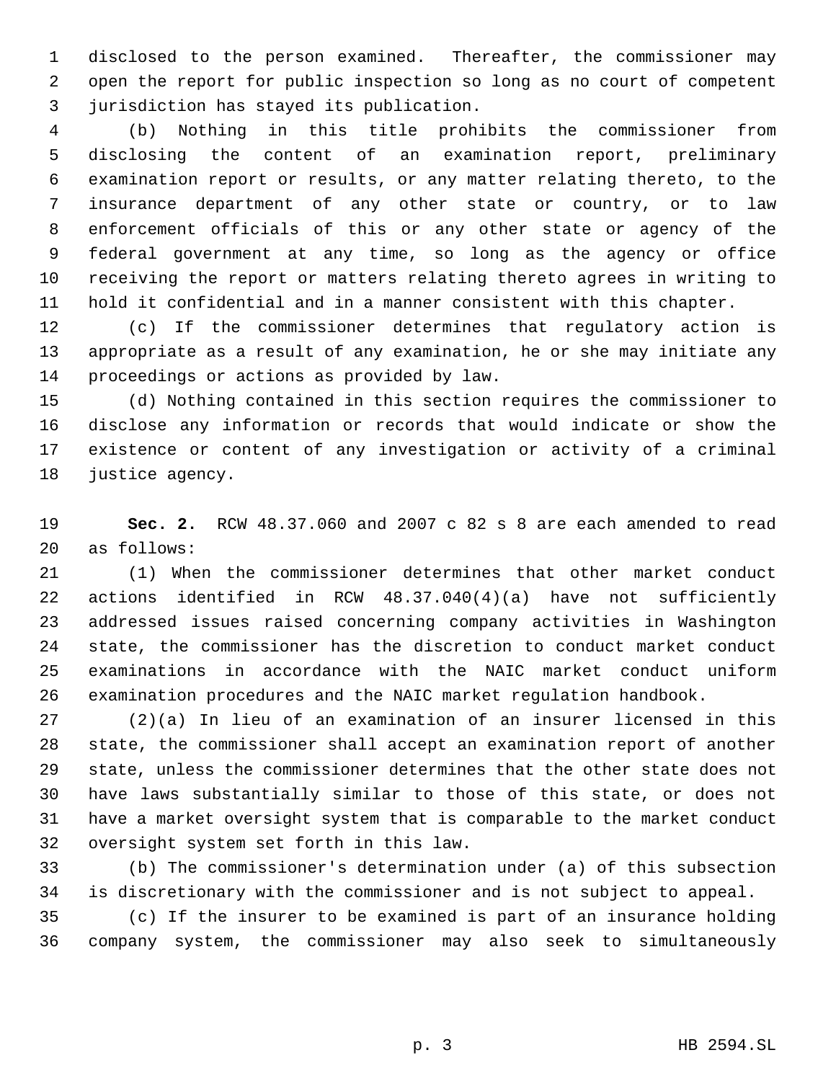disclosed to the person examined. Thereafter, the commissioner may open the report for public inspection so long as no court of competent jurisdiction has stayed its publication.

 (b) Nothing in this title prohibits the commissioner from disclosing the content of an examination report, preliminary examination report or results, or any matter relating thereto, to the insurance department of any other state or country, or to law enforcement officials of this or any other state or agency of the federal government at any time, so long as the agency or office receiving the report or matters relating thereto agrees in writing to hold it confidential and in a manner consistent with this chapter.

 (c) If the commissioner determines that regulatory action is appropriate as a result of any examination, he or she may initiate any proceedings or actions as provided by law.

 (d) Nothing contained in this section requires the commissioner to disclose any information or records that would indicate or show the existence or content of any investigation or activity of a criminal justice agency.

 **Sec. 2.** RCW 48.37.060 and 2007 c 82 s 8 are each amended to read as follows:

 (1) When the commissioner determines that other market conduct actions identified in RCW 48.37.040(4)(a) have not sufficiently addressed issues raised concerning company activities in Washington state, the commissioner has the discretion to conduct market conduct examinations in accordance with the NAIC market conduct uniform examination procedures and the NAIC market regulation handbook.

 (2)(a) In lieu of an examination of an insurer licensed in this state, the commissioner shall accept an examination report of another state, unless the commissioner determines that the other state does not have laws substantially similar to those of this state, or does not have a market oversight system that is comparable to the market conduct oversight system set forth in this law.

 (b) The commissioner's determination under (a) of this subsection is discretionary with the commissioner and is not subject to appeal.

 (c) If the insurer to be examined is part of an insurance holding company system, the commissioner may also seek to simultaneously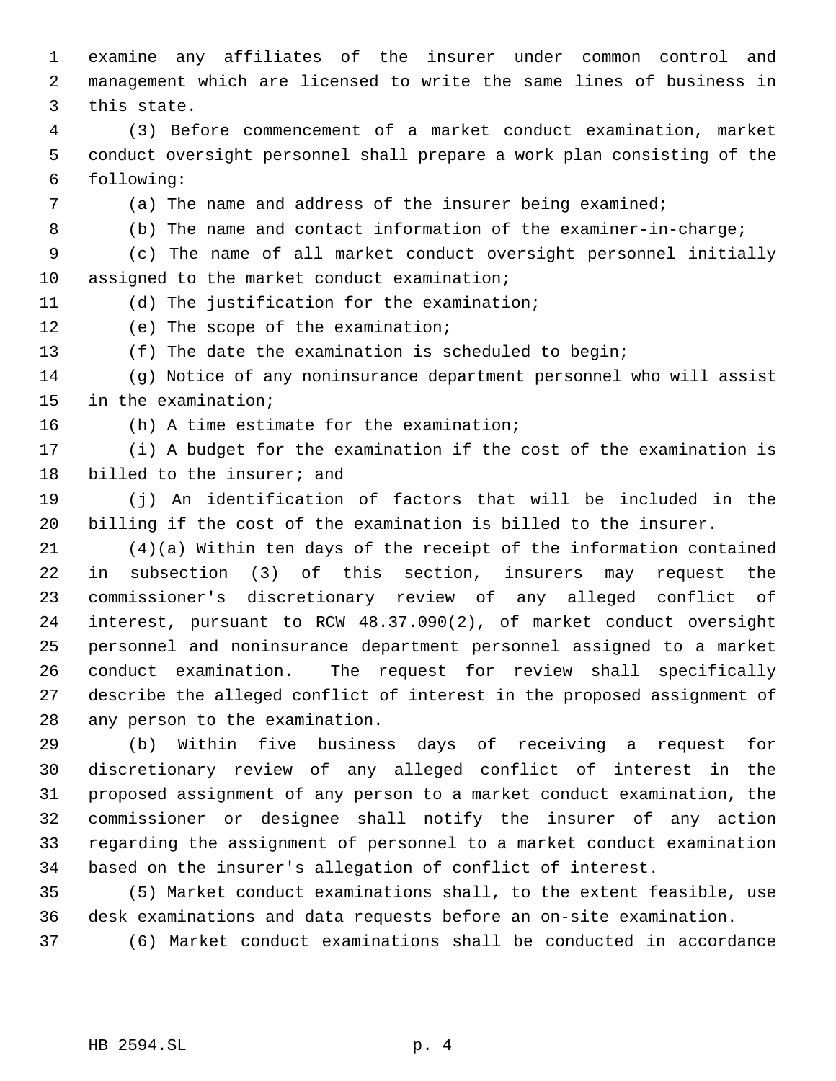examine any affiliates of the insurer under common control and management which are licensed to write the same lines of business in this state.

 (3) Before commencement of a market conduct examination, market conduct oversight personnel shall prepare a work plan consisting of the following:

(a) The name and address of the insurer being examined;

(b) The name and contact information of the examiner-in-charge;

 (c) The name of all market conduct oversight personnel initially assigned to the market conduct examination;

(d) The justification for the examination;

(e) The scope of the examination;

(f) The date the examination is scheduled to begin;

 (g) Notice of any noninsurance department personnel who will assist in the examination;

(h) A time estimate for the examination;

 (i) A budget for the examination if the cost of the examination is billed to the insurer; and

 (j) An identification of factors that will be included in the billing if the cost of the examination is billed to the insurer.

 (4)(a) Within ten days of the receipt of the information contained in subsection (3) of this section, insurers may request the commissioner's discretionary review of any alleged conflict of interest, pursuant to RCW 48.37.090(2), of market conduct oversight personnel and noninsurance department personnel assigned to a market conduct examination. The request for review shall specifically describe the alleged conflict of interest in the proposed assignment of any person to the examination.

 (b) Within five business days of receiving a request for discretionary review of any alleged conflict of interest in the proposed assignment of any person to a market conduct examination, the commissioner or designee shall notify the insurer of any action regarding the assignment of personnel to a market conduct examination based on the insurer's allegation of conflict of interest.

 (5) Market conduct examinations shall, to the extent feasible, use desk examinations and data requests before an on-site examination.

(6) Market conduct examinations shall be conducted in accordance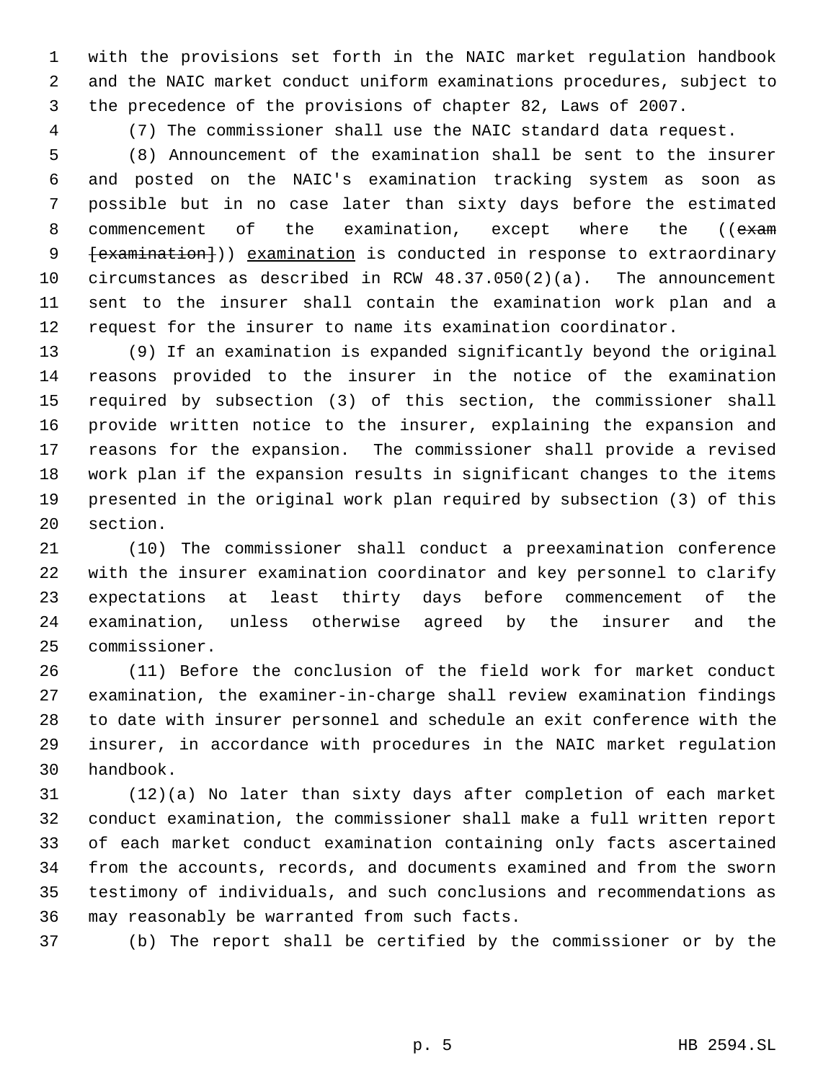with the provisions set forth in the NAIC market regulation handbook and the NAIC market conduct uniform examinations procedures, subject to the precedence of the provisions of chapter 82, Laws of 2007.

(7) The commissioner shall use the NAIC standard data request.

 (8) Announcement of the examination shall be sent to the insurer and posted on the NAIC's examination tracking system as soon as possible but in no case later than sixty days before the estimated 8 commencement of the examination, except where the (( $\epsilon$ xam 9 [examination])) examination is conducted in response to extraordinary circumstances as described in RCW 48.37.050(2)(a). The announcement sent to the insurer shall contain the examination work plan and a request for the insurer to name its examination coordinator.

 (9) If an examination is expanded significantly beyond the original reasons provided to the insurer in the notice of the examination required by subsection (3) of this section, the commissioner shall provide written notice to the insurer, explaining the expansion and reasons for the expansion. The commissioner shall provide a revised work plan if the expansion results in significant changes to the items presented in the original work plan required by subsection (3) of this section.

 (10) The commissioner shall conduct a preexamination conference with the insurer examination coordinator and key personnel to clarify expectations at least thirty days before commencement of the examination, unless otherwise agreed by the insurer and the commissioner.

 (11) Before the conclusion of the field work for market conduct examination, the examiner-in-charge shall review examination findings to date with insurer personnel and schedule an exit conference with the insurer, in accordance with procedures in the NAIC market regulation handbook.

 (12)(a) No later than sixty days after completion of each market conduct examination, the commissioner shall make a full written report of each market conduct examination containing only facts ascertained from the accounts, records, and documents examined and from the sworn testimony of individuals, and such conclusions and recommendations as may reasonably be warranted from such facts.

(b) The report shall be certified by the commissioner or by the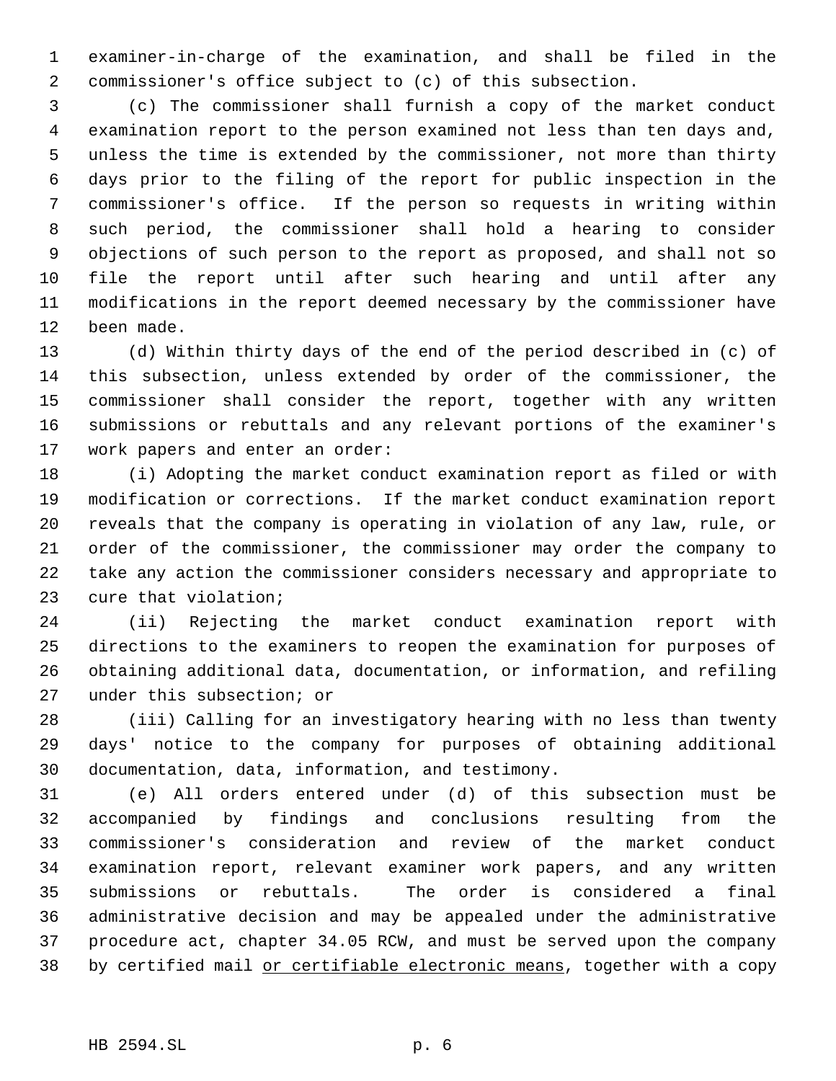examiner-in-charge of the examination, and shall be filed in the commissioner's office subject to (c) of this subsection.

 (c) The commissioner shall furnish a copy of the market conduct examination report to the person examined not less than ten days and, unless the time is extended by the commissioner, not more than thirty days prior to the filing of the report for public inspection in the commissioner's office. If the person so requests in writing within such period, the commissioner shall hold a hearing to consider objections of such person to the report as proposed, and shall not so file the report until after such hearing and until after any modifications in the report deemed necessary by the commissioner have been made.

 (d) Within thirty days of the end of the period described in (c) of this subsection, unless extended by order of the commissioner, the commissioner shall consider the report, together with any written submissions or rebuttals and any relevant portions of the examiner's work papers and enter an order:

 (i) Adopting the market conduct examination report as filed or with modification or corrections. If the market conduct examination report reveals that the company is operating in violation of any law, rule, or order of the commissioner, the commissioner may order the company to take any action the commissioner considers necessary and appropriate to cure that violation;

 (ii) Rejecting the market conduct examination report with directions to the examiners to reopen the examination for purposes of obtaining additional data, documentation, or information, and refiling under this subsection; or

 (iii) Calling for an investigatory hearing with no less than twenty days' notice to the company for purposes of obtaining additional documentation, data, information, and testimony.

 (e) All orders entered under (d) of this subsection must be accompanied by findings and conclusions resulting from the commissioner's consideration and review of the market conduct examination report, relevant examiner work papers, and any written submissions or rebuttals. The order is considered a final administrative decision and may be appealed under the administrative procedure act, chapter 34.05 RCW, and must be served upon the company 38 by certified mail or certifiable electronic means, together with a copy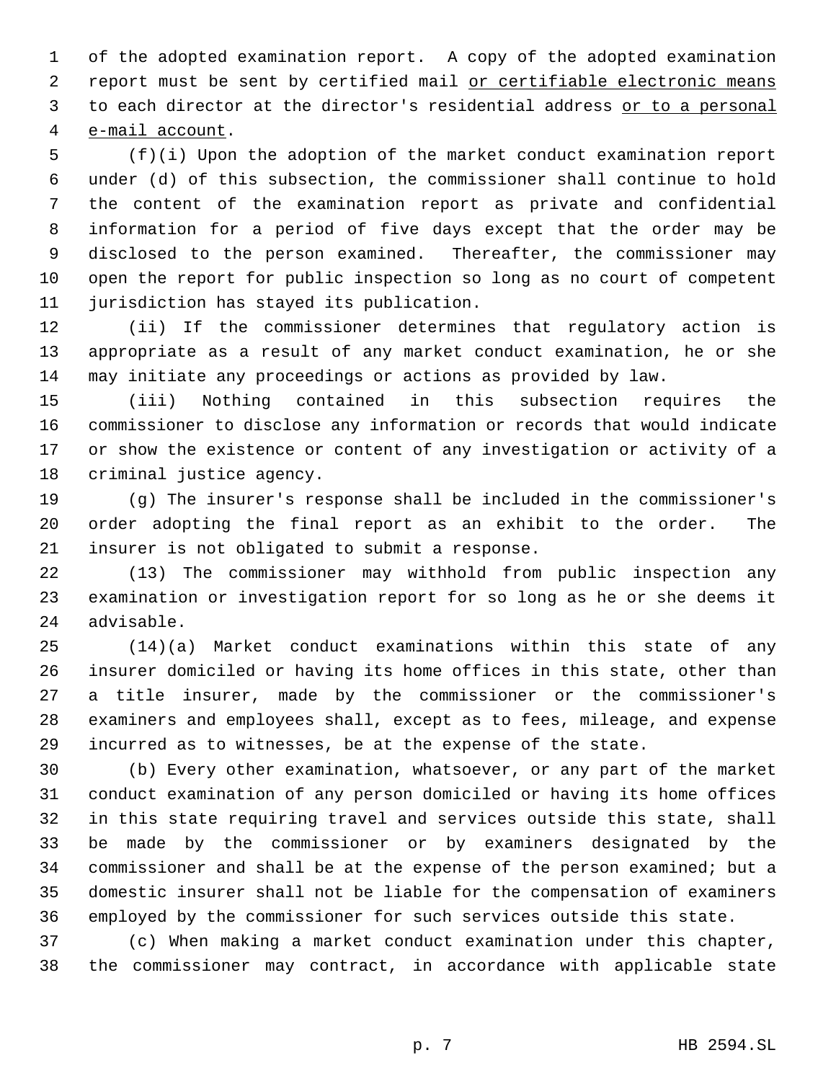of the adopted examination report. A copy of the adopted examination 2 report must be sent by certified mail or certifiable electronic means 3 to each director at the director's residential address or to a personal e-mail account.

 (f)(i) Upon the adoption of the market conduct examination report under (d) of this subsection, the commissioner shall continue to hold the content of the examination report as private and confidential information for a period of five days except that the order may be disclosed to the person examined. Thereafter, the commissioner may open the report for public inspection so long as no court of competent jurisdiction has stayed its publication.

 (ii) If the commissioner determines that regulatory action is appropriate as a result of any market conduct examination, he or she may initiate any proceedings or actions as provided by law.

 (iii) Nothing contained in this subsection requires the commissioner to disclose any information or records that would indicate or show the existence or content of any investigation or activity of a criminal justice agency.

 (g) The insurer's response shall be included in the commissioner's order adopting the final report as an exhibit to the order. The insurer is not obligated to submit a response.

 (13) The commissioner may withhold from public inspection any examination or investigation report for so long as he or she deems it advisable.

 (14)(a) Market conduct examinations within this state of any insurer domiciled or having its home offices in this state, other than a title insurer, made by the commissioner or the commissioner's examiners and employees shall, except as to fees, mileage, and expense incurred as to witnesses, be at the expense of the state.

 (b) Every other examination, whatsoever, or any part of the market conduct examination of any person domiciled or having its home offices in this state requiring travel and services outside this state, shall be made by the commissioner or by examiners designated by the commissioner and shall be at the expense of the person examined; but a domestic insurer shall not be liable for the compensation of examiners employed by the commissioner for such services outside this state.

 (c) When making a market conduct examination under this chapter, the commissioner may contract, in accordance with applicable state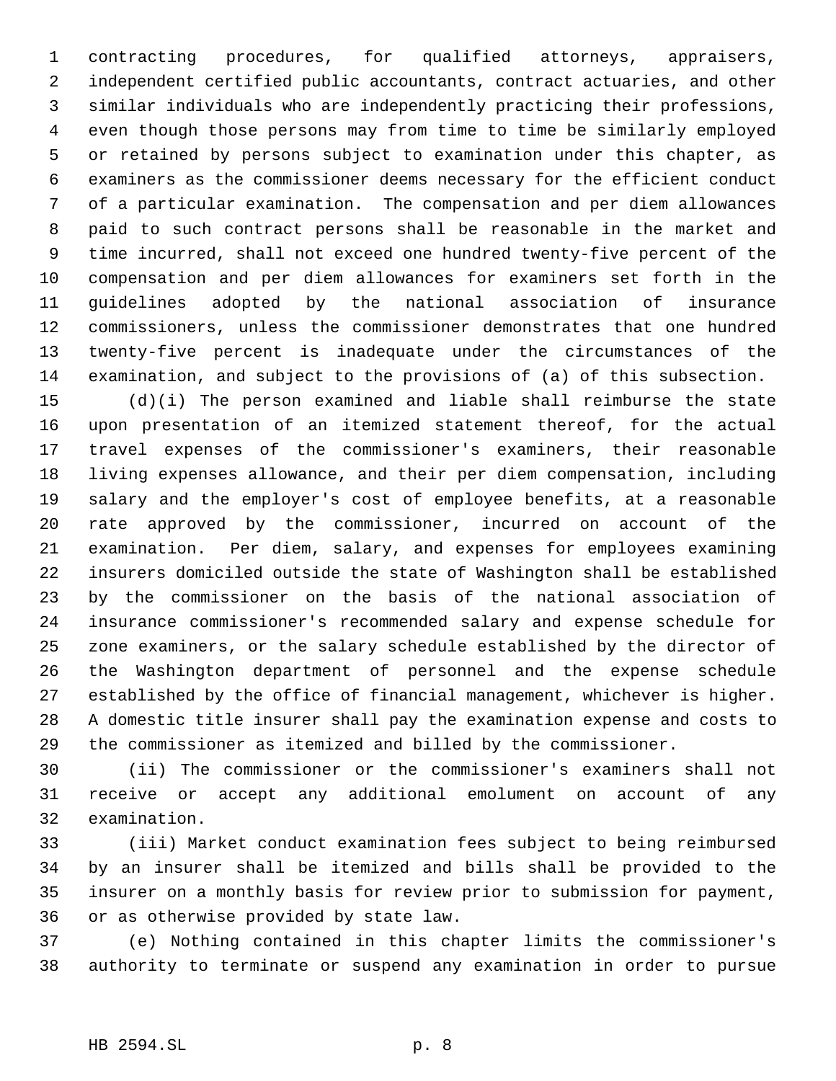contracting procedures, for qualified attorneys, appraisers, independent certified public accountants, contract actuaries, and other similar individuals who are independently practicing their professions, even though those persons may from time to time be similarly employed or retained by persons subject to examination under this chapter, as examiners as the commissioner deems necessary for the efficient conduct of a particular examination. The compensation and per diem allowances paid to such contract persons shall be reasonable in the market and time incurred, shall not exceed one hundred twenty-five percent of the compensation and per diem allowances for examiners set forth in the guidelines adopted by the national association of insurance commissioners, unless the commissioner demonstrates that one hundred twenty-five percent is inadequate under the circumstances of the examination, and subject to the provisions of (a) of this subsection.

 (d)(i) The person examined and liable shall reimburse the state upon presentation of an itemized statement thereof, for the actual travel expenses of the commissioner's examiners, their reasonable living expenses allowance, and their per diem compensation, including salary and the employer's cost of employee benefits, at a reasonable rate approved by the commissioner, incurred on account of the examination. Per diem, salary, and expenses for employees examining insurers domiciled outside the state of Washington shall be established by the commissioner on the basis of the national association of insurance commissioner's recommended salary and expense schedule for zone examiners, or the salary schedule established by the director of the Washington department of personnel and the expense schedule established by the office of financial management, whichever is higher. A domestic title insurer shall pay the examination expense and costs to the commissioner as itemized and billed by the commissioner.

 (ii) The commissioner or the commissioner's examiners shall not receive or accept any additional emolument on account of any examination.

 (iii) Market conduct examination fees subject to being reimbursed by an insurer shall be itemized and bills shall be provided to the insurer on a monthly basis for review prior to submission for payment, or as otherwise provided by state law.

 (e) Nothing contained in this chapter limits the commissioner's authority to terminate or suspend any examination in order to pursue